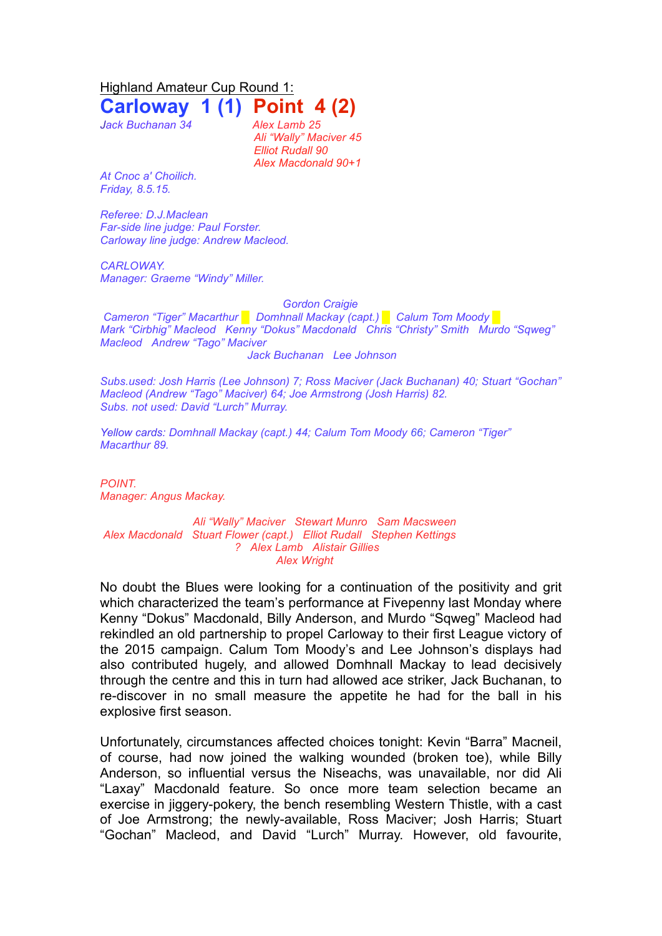Highland Amateur Cup Round 1:

**Carloway 1 (1) Point 4 (2)**

*Jack Buchanan 34 Alex Lamb 25*

*Ali "Wally" Maciver 45 Elliot Rudall 90 Alex Macdonald 90+1*

*At Cnoc a' Choilich. Friday, 8.5.15.*

*Referee: D.J.Maclean Far-side line judge: Paul Forster. Carloway line judge: Andrew Macleod.*

*CARLOWAY. Manager: Graeme "Windy" Miller.*

*Gordon Craigie Cameron "Tiger" Macarthur █ Domhnall Mackay (capt.) █ Calum Tom Moody █ Mark "Cirbhig" Macleod Kenny "Dokus" Macdonald Chris "Christy" Smith Murdo "Sqweg" Macleod Andrew "Tago" Maciver Jack Buchanan Lee Johnson* 

*Subs.used: Josh Harris (Lee Johnson) 7; Ross Maciver (Jack Buchanan) 40; Stuart "Gochan" Macleod (Andrew "Tago" Maciver) 64; Joe Armstrong (Josh Harris) 82. Subs. not used: David "Lurch" Murray.*

*Yellow cards: Domhnall Mackay (capt.) 44; Calum Tom Moody 66; Cameron "Tiger" Macarthur 89.*

*POINT. Manager: Angus Mackay.*

*Ali "Wally" Maciver Stewart Munro Sam Macsween Alex Macdonald Stuart Flower (capt.) Elliot Rudall Stephen Kettings ? Alex Lamb Alistair Gillies Alex Wright*

No doubt the Blues were looking for a continuation of the positivity and grit which characterized the team's performance at Fivepenny last Monday where Kenny "Dokus" Macdonald, Billy Anderson, and Murdo "Sqweg" Macleod had rekindled an old partnership to propel Carloway to their first League victory of the 2015 campaign. Calum Tom Moody's and Lee Johnson's displays had also contributed hugely, and allowed Domhnall Mackay to lead decisively through the centre and this in turn had allowed ace striker, Jack Buchanan, to re-discover in no small measure the appetite he had for the ball in his explosive first season.

Unfortunately, circumstances affected choices tonight: Kevin "Barra" Macneil, of course, had now joined the walking wounded (broken toe), while Billy Anderson, so influential versus the Niseachs, was unavailable, nor did Ali "Laxay" Macdonald feature. So once more team selection became an exercise in jiggery-pokery, the bench resembling Western Thistle, with a cast of Joe Armstrong; the newly-available, Ross Maciver; Josh Harris; Stuart "Gochan" Macleod, and David "Lurch" Murray. However, old favourite,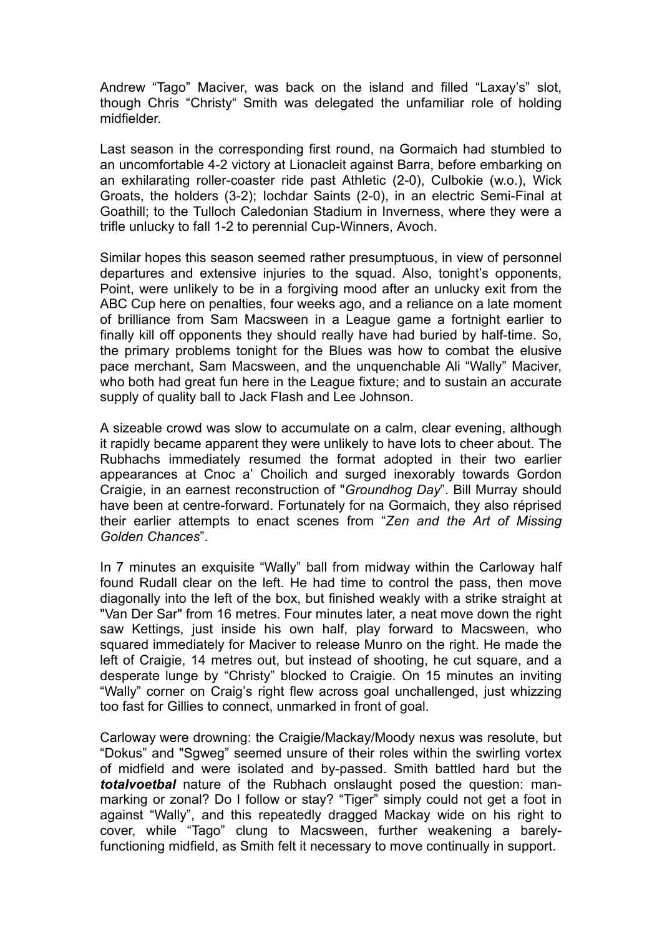Andrew "Tago" Maciver, was back on the island and filled "Laxay's" slot, though Chris "Christy" Smith was delegated the unfamiliar role of holding midfielder.

Last season in the corresponding first round, na Gormaich had stumbled to an uncomfortable 4-2 victory at Lionacleit against Barra, before embarking on an exhilarating roller-coaster ride past Athletic (2-0), Culbokie (w.o.), Wick Groats, the holders (3-2); Iochdar Saints (2-0), in an electric Semi-Final at Goathill; to the Tulloch Caledonian Stadium in Inverness, where they were a trifle unlucky to fall 1-2 to perennial Cup-Winners, Avoch.

Similar hopes this season seemed rather presumptuous, in view of personnel departures and extensive injuries to the squad. Also, tonight's opponents, Point, were unlikely to be in a forgiving mood after an unlucky exit from the ABC Cup here on penalties, four weeks ago, and a reliance on a late moment of brilliance from Sam Macsween in a League game a fortnight earlier to finally kill off opponents they should really have had buried by half-time. So, the primary problems tonight for the Blues was how to combat the elusive pace merchant, Sam Macsween, and the unquenchable Ali "Wally" Maciver, who both had great fun here in the League fixture; and to sustain an accurate supply of quality ball to Jack Flash and Lee Johnson.

A sizeable crowd was slow to accumulate on a calm, clear evening, although it rapidly became apparent they were unlikely to have lots to cheer about. The Rubhachs immediately resumed the format adopted in their two earlier appearances at Cnoc a' Choilich and surged inexorably towards Gordon Craigie, in an earnest reconstruction of "*Groundhog Day*". Bill Murray should have been at centre-forward. Fortunately for na Gormaich, they also réprised their earlier attempts to enact scenes from "*Zen and the Art of Missing Golden Chances*".

In 7 minutes an exquisite "Wally" ball from midway within the Carloway half found Rudall clear on the left. He had time to control the pass, then move diagonally into the left of the box, but finished weakly with a strike straight at "Van Der Sar" from 16 metres. Four minutes later, a neat move down the right saw Kettings, just inside his own half, play forward to Macsween, who squared immediately for Maciver to release Munro on the right. He made the left of Craigie, 14 metres out, but instead of shooting, he cut square, and a desperate lunge by "Christy" blocked to Craigie. On 15 minutes an inviting "Wally" corner on Craig's right flew across goal unchallenged, just whizzing too fast for Gillies to connect, unmarked in front of goal.

Carloway were drowning: the Craigie/Mackay/Moody nexus was resolute, but "Dokus" and "Sgweg" seemed unsure of their roles within the swirling vortex of midfield and were isolated and by-passed. Smith battled hard but the *totalvoetbal* nature of the Rubhach onslaught posed the question: manmarking or zonal? Do I follow or stay? "Tiger" simply could not get a foot in against "Wally", and this repeatedly dragged Mackay wide on his right to cover, while "Tago" clung to Macsween, further weakening a barelyfunctioning midfield, as Smith felt it necessary to move continually in support.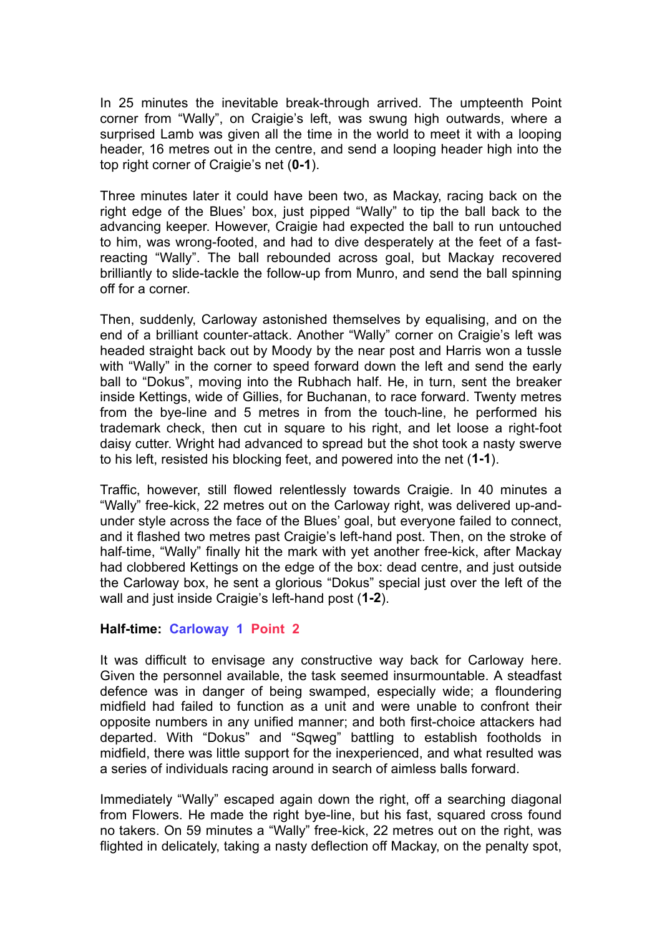In 25 minutes the inevitable break-through arrived. The umpteenth Point corner from "Wally", on Craigie's left, was swung high outwards, where a surprised Lamb was given all the time in the world to meet it with a looping header, 16 metres out in the centre, and send a looping header high into the top right corner of Craigie's net (**0-1**).

Three minutes later it could have been two, as Mackay, racing back on the right edge of the Blues' box, just pipped "Wally" to tip the ball back to the advancing keeper. However, Craigie had expected the ball to run untouched to him, was wrong-footed, and had to dive desperately at the feet of a fastreacting "Wally". The ball rebounded across goal, but Mackay recovered brilliantly to slide-tackle the follow-up from Munro, and send the ball spinning off for a corner.

Then, suddenly, Carloway astonished themselves by equalising, and on the end of a brilliant counter-attack. Another "Wally" corner on Craigie's left was headed straight back out by Moody by the near post and Harris won a tussle with "Wally" in the corner to speed forward down the left and send the early ball to "Dokus", moving into the Rubhach half. He, in turn, sent the breaker inside Kettings, wide of Gillies, for Buchanan, to race forward. Twenty metres from the bye-line and 5 metres in from the touch-line, he performed his trademark check, then cut in square to his right, and let loose a right-foot daisy cutter. Wright had advanced to spread but the shot took a nasty swerve to his left, resisted his blocking feet, and powered into the net (**1-1**).

Traffic, however, still flowed relentlessly towards Craigie. In 40 minutes a "Wally" free-kick, 22 metres out on the Carloway right, was delivered up-andunder style across the face of the Blues' goal, but everyone failed to connect, and it flashed two metres past Craigie's left-hand post. Then, on the stroke of half-time, "Wally" finally hit the mark with yet another free-kick, after Mackay had clobbered Kettings on the edge of the box: dead centre, and just outside the Carloway box, he sent a glorious "Dokus" special just over the left of the wall and just inside Craigie's left-hand post (**1-2**).

## **Half-time: Carloway 1 Point 2**

It was difficult to envisage any constructive way back for Carloway here. Given the personnel available, the task seemed insurmountable. A steadfast defence was in danger of being swamped, especially wide; a floundering midfield had failed to function as a unit and were unable to confront their opposite numbers in any unified manner; and both first-choice attackers had departed. With "Dokus" and "Sqweg" battling to establish footholds in midfield, there was little support for the inexperienced, and what resulted was a series of individuals racing around in search of aimless balls forward.

Immediately "Wally" escaped again down the right, off a searching diagonal from Flowers. He made the right bye-line, but his fast, squared cross found no takers. On 59 minutes a "Wally" free-kick, 22 metres out on the right, was flighted in delicately, taking a nasty deflection off Mackay, on the penalty spot,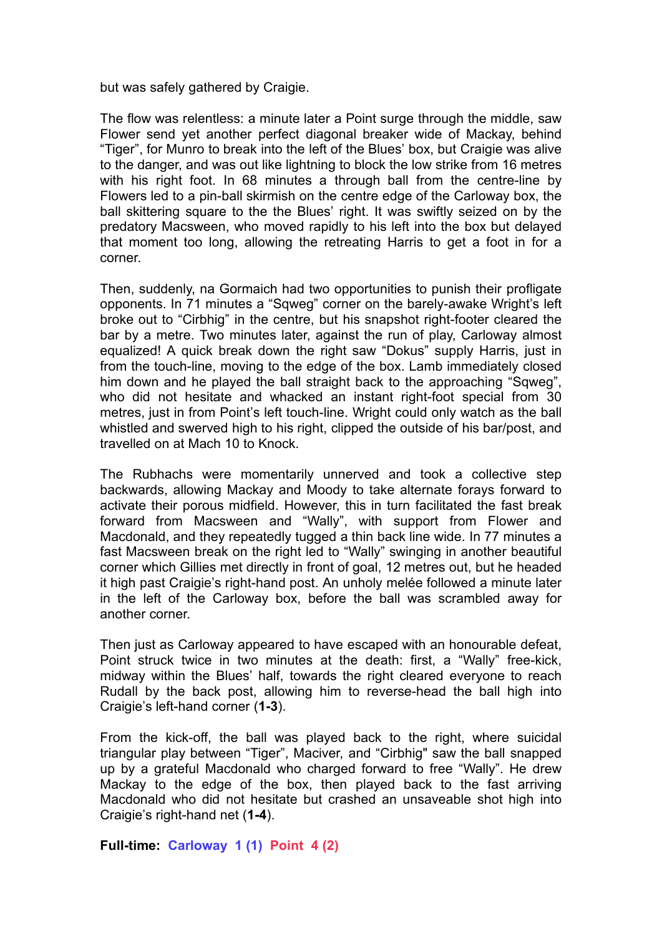but was safely gathered by Craigie.

The flow was relentless: a minute later a Point surge through the middle, saw Flower send yet another perfect diagonal breaker wide of Mackay, behind "Tiger", for Munro to break into the left of the Blues' box, but Craigie was alive to the danger, and was out like lightning to block the low strike from 16 metres with his right foot. In 68 minutes a through ball from the centre-line by Flowers led to a pin-ball skirmish on the centre edge of the Carloway box, the ball skittering square to the the Blues' right. It was swiftly seized on by the predatory Macsween, who moved rapidly to his left into the box but delayed that moment too long, allowing the retreating Harris to get a foot in for a corner.

Then, suddenly, na Gormaich had two opportunities to punish their profligate opponents. In 71 minutes a "Sqweg" corner on the barely-awake Wright's left broke out to "Cirbhig" in the centre, but his snapshot right-footer cleared the bar by a metre. Two minutes later, against the run of play, Carloway almost equalized! A quick break down the right saw "Dokus" supply Harris, just in from the touch-line, moving to the edge of the box. Lamb immediately closed him down and he played the ball straight back to the approaching "Sqweg", who did not hesitate and whacked an instant right-foot special from 30 metres, just in from Point's left touch-line. Wright could only watch as the ball whistled and swerved high to his right, clipped the outside of his bar/post, and travelled on at Mach 10 to Knock.

The Rubhachs were momentarily unnerved and took a collective step backwards, allowing Mackay and Moody to take alternate forays forward to activate their porous midfield. However, this in turn facilitated the fast break forward from Macsween and "Wally", with support from Flower and Macdonald, and they repeatedly tugged a thin back line wide. In 77 minutes a fast Macsween break on the right led to "Wally" swinging in another beautiful corner which Gillies met directly in front of goal, 12 metres out, but he headed it high past Craigie's right-hand post. An unholy melée followed a minute later in the left of the Carloway box, before the ball was scrambled away for another corner.

Then just as Carloway appeared to have escaped with an honourable defeat, Point struck twice in two minutes at the death: first, a "Wally" free-kick, midway within the Blues' half, towards the right cleared everyone to reach Rudall by the back post, allowing him to reverse-head the ball high into Craigie's left-hand corner (**1-3**).

From the kick-off, the ball was played back to the right, where suicidal triangular play between "Tiger", Maciver, and "Cirbhig" saw the ball snapped up by a grateful Macdonald who charged forward to free "Wally". He drew Mackay to the edge of the box, then played back to the fast arriving Macdonald who did not hesitate but crashed an unsaveable shot high into Craigie's right-hand net (**1-4**).

**Full-time: Carloway 1 (1) Point 4 (2)**